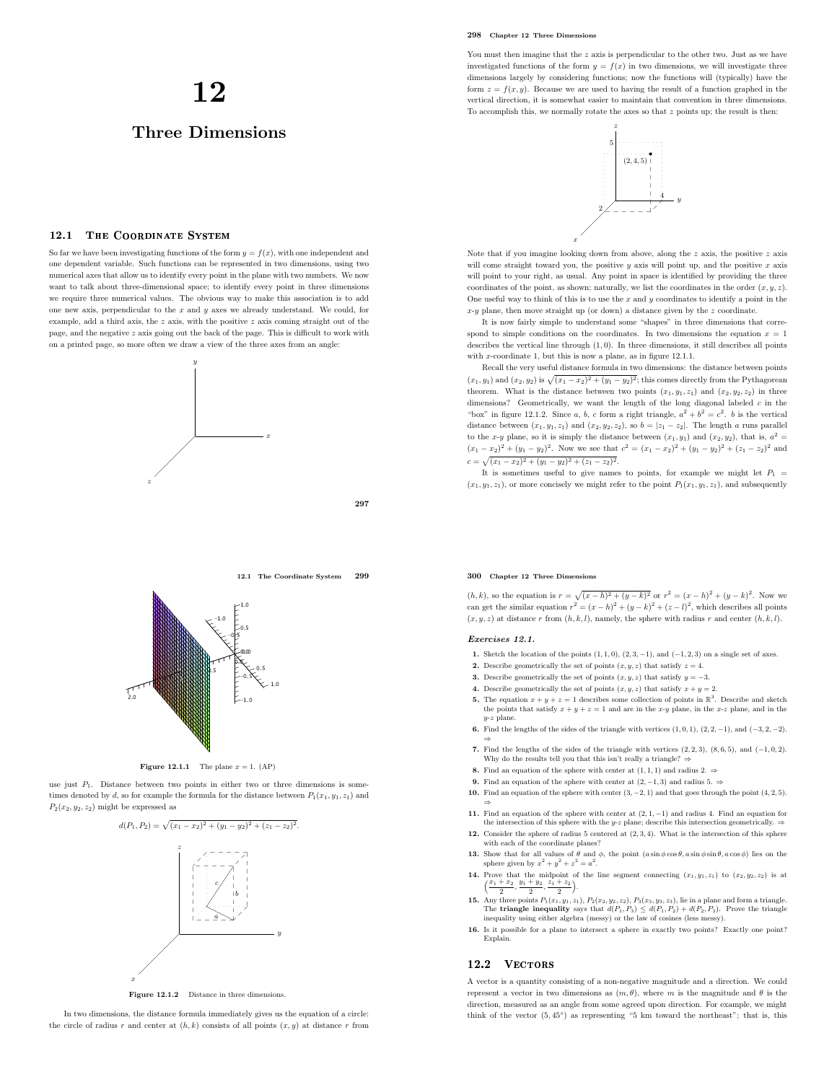# 12

# Three Dimensions

# 12.1 The Coordinate System

So far we have been investigating functions of the form  $y = f(x)$ , with one independent and one dependent variable. Such functions can be represented in two dimensions, using two numerical axes that allow us to identify every point in the plane with two numbers. We now want to talk about three-dimensional space; to identify every point in three dimensions we require three numerical values. The obvious way to make this association is to add one new axis, perpendicular to the  $x$  and  $y$  axes we already understand. We could, for example, add a third axis, the z axis, with the positive z axis coming straight out of the page, and the negative z axis going out the back of the page. This is difficult to work with on a printed page, so more often we draw a view of the three axes from an angle:



12.1 The Coordinate System 299

297



**Figure 12.1.1** The plane  $x = 1$ . (AP)

use just  $P_1$ . Distance between two points in either two or three dimensions is sometimes denoted by d, so for example the formula for the distance between  $P_1(x_1, y_1, z_1)$  and  $P_2(x_2, y_2, z_2)$  might be expressed as



Figure 12.1.2 Distance in three dimensions.

In two dimensions, the distance formula immediately gives us the equation of a circle: the circle of radius r and center at  $(h, k)$  consists of all points  $(x, y)$  at distance r from

## 298 Chapter 12 Three Dimensions

You must then imagine that the z axis is perpendicular to the other two. Just as we have investigated functions of the form  $y = f(x)$  in two dimensions, we will investigate three dimensions largely by considering functions; now the functions will (typically) have the form  $z = f(x, y)$ . Because we are used to having the result of a function graphed in the vertical direction, it is somewhat easier to maintain that convention in three dimensions. To accomplish this, we normally rotate the axes so that z points up; the result is then:



Note that if you imagine looking down from above, along the  $z$  axis, the positive  $z$  axis will come straight toward you, the positive  $y$  axis will point up, and the positive x axis will point to your right, as usual. Any point in space is identified by providing the three coordinates of the point, as shown; naturally, we list the coordinates in the order  $(x, y, z)$ . One useful way to think of this is to use the  $x$  and  $y$  coordinates to identify a point in the x-y plane, then move straight up (or down) a distance given by the z coordinate.

It is now fairly simple to understand some "shapes" in three dimensions that correspond to simple conditions on the coordinates. In two dimensions the equation  $x = 1$ describes the vertical line through  $(1, 0)$ . In three dimensions, it still describes all points with x-coordinate 1, but this is now a plane, as in figure 12.1.1.

Recall the very useful distance formula in two dimensions: the distance between points  $(x_1, y_1)$  and  $(x_2, y_2)$  is  $\sqrt{(x_1 - x_2)^2 + (y_1 - y_2)^2}$ ; this comes directly from the Pythagorean theorem. What is the distance between two points  $(x_1, y_1, z_1)$  and  $(x_2, y_2, z_2)$  in three dimensions? Geometrically, we want the length of the long diagonal labeled  $c$  in the "box" in figure 12.1.2. Since a, b, c form a right triangle,  $a^2 + b^2 = c^2$ . b is the vertical distance between  $(x_1, y_1, z_1)$  and  $(x_2, y_2, z_2)$ , so  $b = |z_1 - z_2|$ . The length a runs parallel to the x-y plane, so it is simply the distance between  $(x_1, y_1)$  and  $(x_2, y_2)$ , that is,  $a^2 =$  $(x_1 - x_2)^2 + (y_1 - y_2)^2$ . Now we see that  $c^2 = (x_1 - x_2)^2 + (y_1 - y_2)^2 + (z_1 - z_2)^2$  and  $c = \sqrt{(x_1 - x_2)^2 + (y_1 - y_2)^2 + (z_1 - z_2)^2}.$ 

It is sometimes useful to give names to points, for example we might let  $P_1$  =  $(x_1, y_1, z_1)$ , or more concisely we might refer to the point  $P_1(x_1, y_1, z_1)$ , and subsequently

#### 300 Chapter 12 Three Dimensions

 $(h, k)$ , so the equation is  $r = \sqrt{(x - h)^2 + (y - k)^2}$  or  $r^2 = (x - h)^2 + (y - k)^2$ . Now we can get the similar equation  $r^2 = (x - h)^2 + (y - k)^2 + (z - l)^2$ , which describes all points  $(x, y, z)$  at distance r from  $(h, k, l)$ , namely, the sphere with radius r and center  $(h, k, l)$ .

#### Exercises 12.1.

- 1. Sketch the location of the points  $(1, 1, 0)$ ,  $(2, 3, -1)$ , and  $(-1, 2, 3)$  on a single set of axes.
- 2. Describe geometrically the set of points  $(x, y, z)$  that satisfy  $z = 4$ .
- 3. Describe geometrically the set of points  $(x, y, z)$  that satisfy  $y = -3$ .
- 4. Describe geometrically the set of points  $(x, y, z)$  that satisfy  $x + y = 2$ .
- **5.** The equation  $x + y + z = 1$  describes some collection of points in  $\mathbb{R}^3$ . Describe and sketch the points that satisfy  $x + y + z = 1$  and are in the x-y plane, in the x-z plane, and in the  $y-z$  plane.
- 6. Find the lengths of the sides of the triangle with vertices  $(1, 0, 1), (2, 2, -1),$  and  $(-3, 2, -2)$ .
- $\Rightarrow$ <br>7. Find the lengths of the sides of the triangle with vertices (2, 2, 3), (8, 6, 5), and (−1, 0, 2). Why do the results tell you that this isn't really a triangle?  $\Rightarrow$
- 8. Find an equation of the sphere with center at  $(1, 1, 1)$  and radius 2.  $\Rightarrow$
- 9. Find an equation of the sphere with center at  $(2, -1, 3)$  and radius 5. ⇒
- 10. Find an equation of the sphere with center  $(3, -2, 1)$  and that goes through the point  $(4, 2, 5)$ .
- ⇒ 11. Find an equation of the sphere with center at (2, 1, −1) and radius 4. Find an equation for the intersection of this sphere with the  $y$ -z plane; describe this intersection geometrically. 12. Consider the sphere of radius  $5$  centered at  $(2, 3, 4)$ . What is the intersection of this sphere
- with each of the coordinate planes?
- 13. Show that for all values of  $\theta$  and  $\phi$ , the point  $(a \sin \phi \cos \theta, a \sin \phi \sin \theta, a \cos \phi)$  lies on the sphere given by  $x^2 + y^2 + z^2 = a^2$ .
- 14. Prove that the midpoint of the line segment connecting  $(x_1, y_1, z_1)$  to  $(x_2, y_2, z_2)$  is at  $\left(\frac{x_1+x_2}{2}, \frac{y_1+y_2}{2}, \frac{z_1+z_2}{2}\right).$ 2 2 2
- **15.** Any three points  $P_1(x_1, y_1, z_1)$ ,  $P_2(x_2, y_2, z_2)$ ,  $P_3(x_3, y_3, z_3)$ , lie in a plane and form a triangle. The **triangle inequality** says that  $d(P_1, P_3) \leq d(P_1, P_2) + d(P_2, P_3)$ . Prove the triangle  $\,$  inequality using either algebra (messy) or the law of cosines (less  $\,$  m
- 16. Is it possible for a plane to intersect a sphere in exactly two points? Exactly one point? Explain.

# 12.2 VECTORS

A vector is a quantity consisting of a non-negative magnitude and a direction. We could represent a vector in two dimensions as  $(m, \theta)$ , where m is the magnitude and  $\theta$  is the direction, measured as an angle from some agreed upon direction. For example, we might think of the vector  $(5, 45^{\circ})$  as representing "5 km toward the northeast"; that is, this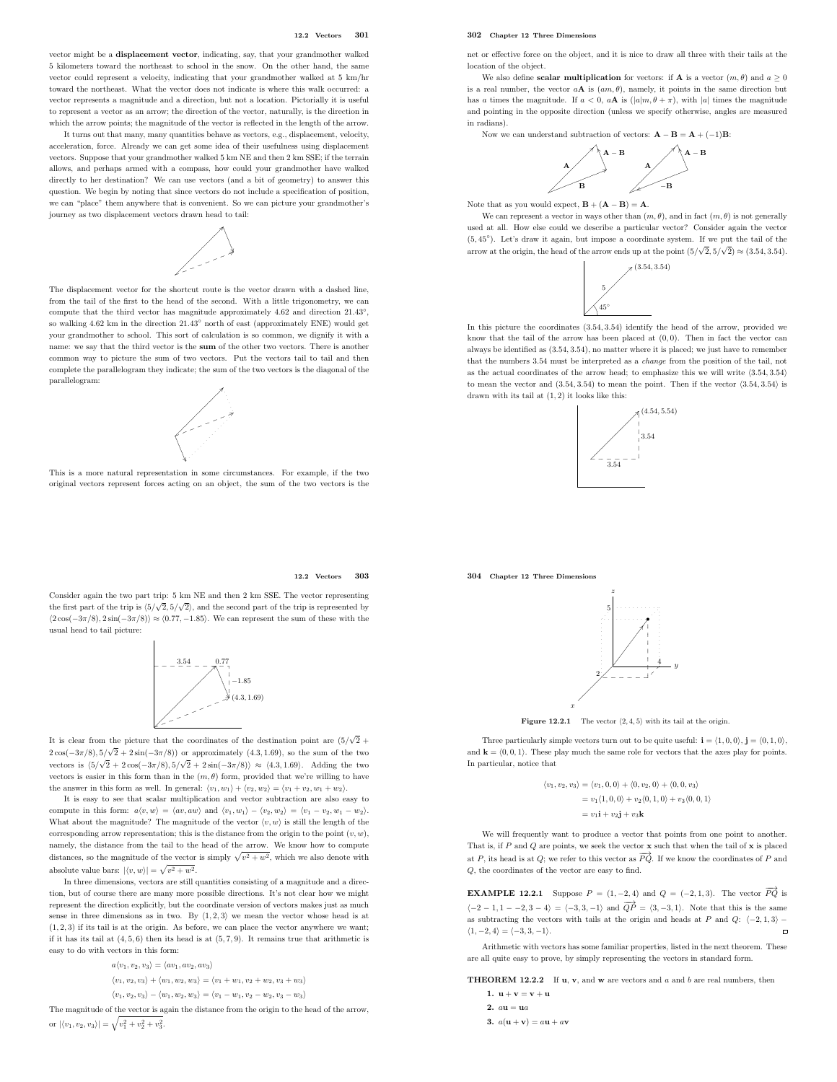#### 12.2 Vectors 301

vector might be a displacement vector, indicating, say, that your grandmother walked 5 kilometers toward the northeast to school in the snow. On the other hand, the same vector could represent a velocity, indicating that your grandmother walked at 5 km/hr toward the northeast. What the vector does not indicate is where this walk occurred: a vector represents a magnitude and a direction, but not a location. Pictorially it is useful to represent a vector as an arrow; the direction of the vector, naturally, is the direction in which the arrow points; the magnitude of the vector is reflected in the length of the arrow.

It turns out that many, many quantities behave as vectors, e.g., displacement, velocity, acceleration, force. Already we can get some idea of their usefulness using displacement vectors. Suppose that your grandmother walked 5 km NE and then 2 km SSE; if the terrain allows, and perhaps armed with a compass, how could your grandmother have walked directly to her destination? We can use vectors (and a bit of geometry) to answer this question. We begin by noting that since vectors do not include a specification of position, we can "place" them anywhere that is convenient. So we can picture your grandmother's journey as two displacement vectors drawn head to tail:



.

.

. ......... .......... .......... ......... .......... .......... ......... .... . .... .......... . .

This is a more natural representation in some circumstances. For example, if the two original vectors represent forces acting on an object, the sum of the two vectors is the

The displacement vector for the shortcut route is the vector drawn with a dashed line, from the tail of the first to the head of the second. With a little trigonometry, we can compute that the third vector has magnitude approximately 4.62 and direction 21.43◦ , so walking  $4.62 \text{ km}$  in the direction  $21.43^\circ$  north of east (approximately ENE) would get your grandmother to school. This sort of calculation is so common, we dignify it with a name: we say that the third vector is the sum of the other two vectors. There is another common way to picture the sum of two vectors. Put the vectors tail to tail and then complete the parallelogram they indicate; the sum of the two vectors is the diagonal of the parallelogram: ..... ....



#### 12.2 Vectors 303

Consider again the two part trip: 5 km NE and then 2 km SSE. The vector representing the first part of the trip is  $\langle 5/\sqrt{2}, 5/\sqrt{2} \rangle$ , and the second part of the trip is represented by  $\langle 2\cos(-3\pi/8), 2\sin(-3\pi/8) \rangle \approx \langle 0.77, -1.85 \rangle$ . We can represent the sum of these with the usual head to tail picture:



It is clear from the picture that the coordinates of the destination point are  $(5/\sqrt{2} +$  $2\cos(-3\pi/8), 5/\sqrt{2} + 2\sin(-3\pi/8))$  or approximately (4.3, 1.69), so the sum of the two vectors is  $\langle 5/\sqrt{2} + 2\cos(-3\pi/8), 5/\sqrt{2} + 2\sin(-3\pi/8) \rangle$  ≈  $\langle 4.3, 1.69 \rangle$ . Adding the two vectors is easier in this form than in the  $(m, \theta)$  form, provided that we're willing to have the answer in this form as well. In general:  $\langle v_1, w_1\rangle + \langle v_2, w_2\rangle = \langle v_1 + v_2, w_1 + w_2\rangle.$ 

It is easy to see that scalar multiplication and vector subtraction are also easy to compute in this form:  $a\langle v, w \rangle = \langle av, aw \rangle$  and  $\langle v_1, w_1 \rangle - \langle v_2, w_2 \rangle = \langle v_1 - v_2, w_1 - w_2 \rangle$ . What about the magnitude? The magnitude of the vector  $\langle v, w \rangle$  is still the length of the corresponding arrow representation; this is the distance from the origin to the point  $(v, w)$ , namely, the distance from the tail to the head of the arrow. We know how to compute distances, so the magnitude of the vector is simply  $\sqrt{v^2 + w^2}$ , which we also denote with absolute value bars:  $|\langle v, w \rangle| = \sqrt{v^2 + w^2}$ .

In three dimensions, vectors are still quantities consisting of a magnitude and a direction, but of course there are many more possible directions. It's not clear how we might represent the direction explicitly, but the coordinate version of vectors makes just as much sense in three dimensions as in two. By  $\langle 1, 2, 3 \rangle$  we mean the vector whose head is at  $(1, 2, 3)$  if its tail is at the origin. As before, we can place the vector anywhere we want; if it has its tail at  $(4, 5, 6)$  then its head is at  $(5, 7, 9)$ . It remains true that arithmetic is easy to do with vectors in this form:

> $a\langle v_1, v_2, v_3 \rangle = \langle a v_1, a v_2, a v_3 \rangle$  $\langle v_1, v_2, v_3 \rangle + \langle w_1, w_2, w_3 \rangle = \langle v_1 + w_1, v_2 + w_2, v_3 + w_3 \rangle$  $\langle v_1, v_2, v_3 \rangle - \langle w_1, w_2, w_3 \rangle = \langle v_1 - w_1, v_2 - w_2, v_3 - w_3 \rangle$

The magnitude of the vector is again the distance from the origin to the head of the arrow, or  $|\langle v_1, v_2, v_3 \rangle| = \sqrt{v_1^2 + v_2^2 + v_3^2}$ .

# 302 Chapter 12 Three Dimensions

net or effective force on the object, and it is nice to draw all three with their tails at the location of the object.

We also define **scalar multiplication** for vectors: if **A** is a vector  $(m, \theta)$  and  $a > 0$ is a real number, the vector  $a\mathbf{A}$  is  $(am,\theta)$ , namely, it points in the same direction but has a times the magnitude. If  $a < 0$ ,  $aA$  is  $(|a|m, \theta + \pi)$ , with |a| times the magnitude and pointing in the opposite direction (unless we specify otherwise, angles are measured in radians).

Now we can understand subtraction of vectors:  $\mathbf{A} - \mathbf{B} = \mathbf{A} + (-1)\mathbf{B}$ :



Note that as you would expect,  $\mathbf{B} + (\mathbf{A} - \mathbf{B}) = \mathbf{A}$ .

.

We can represent a vector in ways other than  $(m, \theta)$ , and in fact  $(m, \theta)$  is not generally used at all. How else could we describe a particular vector? Consider again the vector (5, 45◦ ). Let's draw it again, but impose a coordinate system. If we put the tail of the arrow at the origin, the head of the arrow ends up at the point  $(5/\sqrt{2}, 5/\sqrt{2}) \approx (3.54, 3.54)$ .



In this picture the coordinates (3.54, 3.54) identify the head of the arrow, provided we know that the tail of the arrow has been placed at  $(0, 0)$ . Then in fact the vector can always be identified as (3.54, 3.54), no matter where it is placed; we just have to remember that the numbers 3.54 must be interpreted as a change from the position of the tail, not as the actual coordinates of the arrow head; to emphasize this we will write  $(3.54, 3.54)$ to mean the vector and  $(3.54, 3.54)$  to mean the point. Then if the vector  $\langle 3.54, 3.54 \rangle$  is drawn with its tail at (1, 2) it looks like this:



304 Chapter 12 Three Dimensions



Figure 12.2.1 The vector  $\langle 2, 4, 5 \rangle$  with its tail at the origin.

Three particularly simple vectors turn out to be quite useful:  $\mathbf{i} = \langle 1, 0, 0 \rangle$ ,  $\mathbf{j} = \langle 0, 1, 0 \rangle$ , and  $\mathbf{k} = \langle 0, 0, 1 \rangle$ . These play much the same role for vectors that the axes play for points. In particular, notice that

$$
\langle v_1, v_2, v_3 \rangle = \langle v_1, 0, 0 \rangle + \langle 0, v_2, 0 \rangle + \langle 0, 0, v_3 \rangle
$$
  
=  $v_1 \langle 1, 0, 0 \rangle + v_2 \langle 0, 1, 0 \rangle + v_3 \langle 0, 0, 1 \rangle$   
=  $v_1 \mathbf{i} + v_2 \mathbf{j} + v_3 \mathbf{k}$ 

We will frequently want to produce a vector that points from one point to another. That is, if P and Q are points, we seek the vector **x** such that when the tail of **x** is placed at P, its head is at Q; we refer to this vector as  $\overrightarrow{PQ}$ . If we know the coordinates of P and Q, the coordinates of the vector are easy to find.

**EXAMPLE 12.2.1** Suppose  $P = (1, -2, 4)$  and  $Q = (-2, 1, 3)$ . The vector  $\overrightarrow{PQ}$  is  $\langle -2 - 1, 1 - -2, 3 - 4 \rangle = \langle -3, 3, -1 \rangle$  and  $\overrightarrow{QP} = \langle 3, -3, 1 \rangle$ . Note that this is the same as subtracting the vectors with tails at the origin and heads at P and Q:  $\langle -2, 1, 3 \rangle$  −  $\langle 1, -2, 4 \rangle = \langle -3, 3, -1 \rangle.$ 

Arithmetic with vectors has some familiar properties, listed in the next theorem. These are all quite easy to prove, by simply representing the vectors in standard form.

**THEOREM 12.2.2** If  $u$ ,  $v$ , and  $w$  are vectors and  $a$  and  $b$  are real numbers, then

1.  $u + v = v + u$ 2.  $au = ua$ 3.  $a(\mathbf{u} + \mathbf{v}) = a\mathbf{u} + a\mathbf{v}$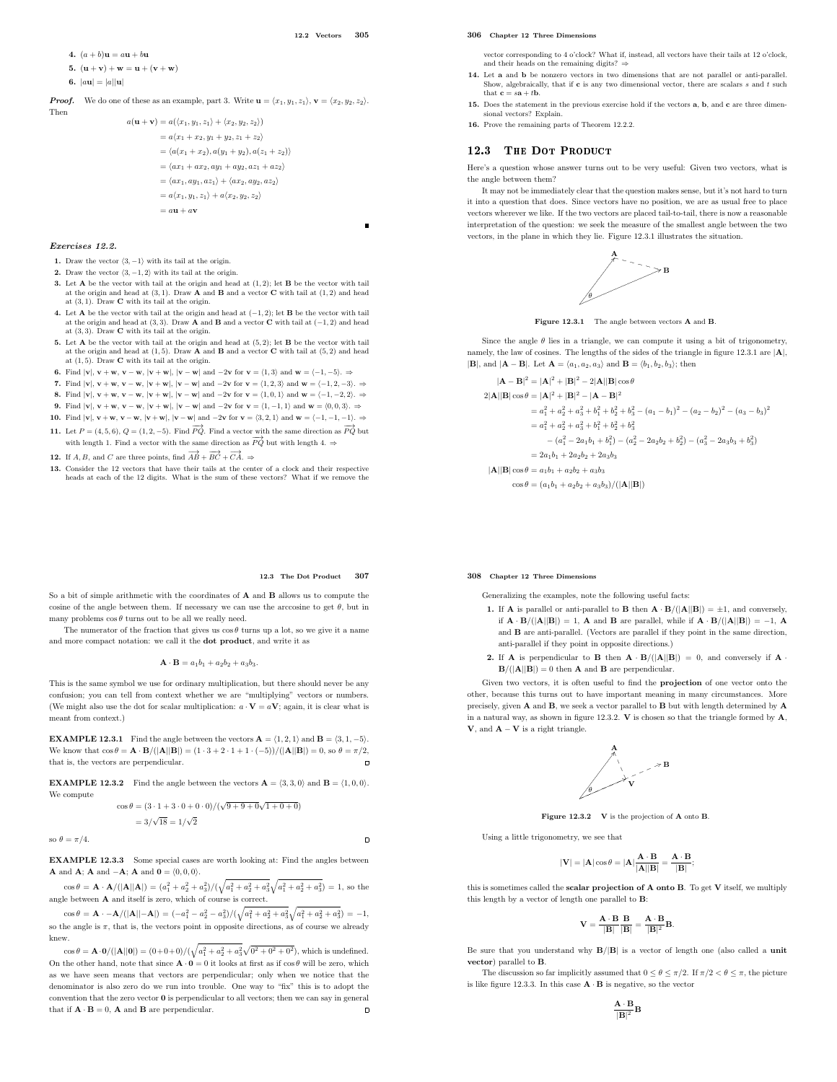4.  $(a + b)$ **u** =  $a$ **u** +  $b$ **u** 

5.  $(u + v) + w = u + (v + w)$ 

6.  $|a\mathbf{u}| = |a||\mathbf{u}|$ 

**Proof.** We do one of these as an example, part 3. Write  $\mathbf{u} = \langle x_1, y_1, z_1 \rangle$ ,  $\mathbf{v} = \langle x_2, y_2, z_2 \rangle$ .

Then

- $a(\mathbf{u} + \mathbf{v}) = a(\langle x_1, y_1, z_1 \rangle + \langle x_2, y_2, z_2 \rangle)$ 
	- $= a\langle x_1 + x_2, y_1 + y_2, z_1 + z_2 \rangle$
	- $=\langle a(x_1 + x_2), a(y_1 + y_2), a(z_1 + z_2) \rangle$
	- $= \langle ax_1 + ax_2, ay_1 + ay_2, az_1 + az_2 \rangle$
	- $= \langle ax_1, ay_1, az_1 \rangle + \langle ax_2, ay_2, az_2 \rangle$
	- $= a\langle x_1, y_1, z_1\rangle + a\langle x_2, y_2, z_2\rangle$
	- $= a\mathbf{u} + a\mathbf{v}$

# Exercises 12.2.

- 1. Draw the vector  $(3, -1)$  with its tail at the origin.
- 2. Draw the vector  $(3, -1, 2)$  with its tail at the origin.
- 3. Let  $\Lambda$  be the vector with tail at the origin and head at  $(1, 2)$ ; let  $\mathbf{R}$  be the vector with tail at the origin and head at  $(3, 1)$ . Draw **A** and **B** and a vector **C** with tail at  $(1, 2)$  and head at  $(3,1).$  Draw  ${\bf C}$  with its tail at the origin.
- 4. Let **A** be the vector with tail at the origin and head at  $(-1, 2)$ ; let **B** be the vector with tail at the origin and head at (3, 3). Draw A and B and a vector C with tail at  $(-1, 2)$  and head at (3, 3). Draw C with its tail at the origin.
- 5. Let  $A$  be the vector with tail at the origin and head at  $(5, 2)$ ; let  $B$  be the vector with tail at the origin and head at  $(1, 5)$ . Draw **A** and **B** and a vector **C** with tail at  $(5, 2)$  and head at  $(1, 5)$ . Draw **C** with its tail at the origin.
- 6. Find  $|v|, v + w, v w, |v + w|, |v w|$  and  $-2v$  for  $v = \langle 1, 3 \rangle$  and  $w = \langle -1, -5 \rangle$ .  $\Rightarrow$
- 7. Find  $|v|, v + w, v w, |v + w|, |v w|$  and  $-2v$  for  $v = \langle 1, 2, 3 \rangle$  and  $w = \langle -1, 2, -3 \rangle$ .  $\Rightarrow$
- 8. Find  $|v|, v + w, v w, |v + w|, |v w|$  and  $-2v$  for  $v = \langle 1, 0, 1 \rangle$  and  $w = \langle -1, -2, 2 \rangle$ .  $\Rightarrow$
- 9. Find  $|v|, v + w, v w, |v + w|, |v w|$  and  $-2v$  for  $v = \langle 1, -1, 1 \rangle$  and  $w = \langle 0, 0, 3 \rangle$ .  $\Rightarrow$
- 10. Find  $|v|, v + w, v w, |v + w|, |v w|$  and  $-2v$  for  $v = \langle 3, 2, 1 \rangle$  and  $w = \langle -1, -1, -1 \rangle$ .  $\Rightarrow$ 11. Let  $P = (4, 5, 6), Q = (1, 2, -5)$ . Find  $\overrightarrow{PQ}$ . Find a vector with the same direction as  $\overrightarrow{PQ}$  but
- with length 1. Find a vector with the same direction as  $\overrightarrow{PQ}$  but with length 4.  $\Rightarrow$
- **12.** If  $A, B$ , and  $C$  are three points, find  $\overrightarrow{AB} + \overrightarrow{BC} + \overrightarrow{CA}$ .  $\Rightarrow$
- 13. Consider the 12 vectors that have their tails at the center of a clock and their respective heads at each of the 12 digits. What is the sum of these vectors? What if we remove the

#### 306 Chapter 12 Three Dimensions

vector corresponding to 4 o'clock? What if, instead, all vectors have their tails at 12 o'clock, and their heads on the remaining digits? ⇒

- 14. Let a and b be nonzero vectors in two dimensions that are not parallel or anti-parallel. Show, algebraically, that if  $c$  is any two dimensional vector, there are scalars  $s$  and  $t$  such that  $\mathbf{c} = s\mathbf{a} + t\mathbf{b}$ .
- 15. Does the statement in the previous exercise hold if the vectors a, b, and c are three dimensional vectors? Explain.
- 16. Prove the remaining parts of Theorem 12.2.2.

# 12.3 THE DOT PRODUCT

Here's a question whose answer turns out to be very useful: Given two vectors, what is the angle between them?

It may not be immediately clear that the question makes sense, but it's not hard to turn it into a question that does. Since vectors have no position, we are as usual free to place vectors wherever we like. If the two vectors are placed tail-to-tail, there is now a reasonable interpretation of the question: we seek the measure of the smallest angle between the two vectors, in the plane in which they lie. Figure 12.3.1 illustrates the situation.



Figure 12.3.1 The angle between vectors **A** and **B**.

Since the angle  $\theta$  lies in a triangle, we can compute it using a bit of trigonometry, namely, the law of cosines. The lengths of the sides of the triangle in figure 12.3.1 are  $|\mathbf{A}|$ ,  $|\mathbf{B}|$ , and  $|\mathbf{A} - \mathbf{B}|$ . Let  $\mathbf{A} = \langle a_1, a_2, a_3 \rangle$  and  $\mathbf{B} = \langle b_1, b_2, b_3 \rangle$ ; then

$$
|\mathbf{A} - \mathbf{B}|^2 = |\mathbf{A}|^2 + |\mathbf{B}|^2 - 2|\mathbf{A}||\mathbf{B}|\cos\theta
$$
  
\n
$$
2|\mathbf{A}||\mathbf{B}|\cos\theta = |\mathbf{A}|^2 + |\mathbf{B}|^2 - |\mathbf{A} - \mathbf{B}|^2
$$
  
\n
$$
= a_1^2 + a_2^2 + a_3^2 + b_1^2 + b_2^2 + b_3^2 - (a_1 - b_1)^2 - (a_2 - b_2)^2 - (a_3 - b_3)
$$
  
\n
$$
= a_1^2 + a_2^2 + a_3^2 + b_1^2 + b_2^2 + b_3^2
$$
  
\n
$$
- (a_1^2 - 2a_1b_1 + b_1^2) - (a_2^2 - 2a_2b_2 + b_2^2) - (a_3^2 - 2a_3b_3 + b_3^2)
$$
  
\n
$$
= 2a_1b_1 + 2a_2b_2 + 2a_3b_3
$$

 $\overline{2}$ 

 $|\mathbf{A}||\mathbf{B}|\cos\theta = a_1b_1 + a_2b_2 + a_3b_3$ 

 $\cos \theta = (a_1b_1 + a_2b_2 + a_3b_3)/(|\mathbf{A}||\mathbf{B}|)$ 

#### 308 Chapter 12 Three Dimensions

Generalizing the examples, note the following useful facts:

- 1. If **A** is parallel or anti-parallel to **B** then  $\mathbf{A} \cdot \mathbf{B}/(|\mathbf{A}||\mathbf{B}|) = \pm 1$ , and conversely, if  $\mathbf{A} \cdot \mathbf{B}/(|\mathbf{A}||\mathbf{B}|) = 1$ , **A** and **B** are parallel, while if  $\mathbf{A} \cdot \mathbf{B}/(|\mathbf{A}||\mathbf{B}|) = -1$ , **A** and B are anti-parallel. (Vectors are parallel if they point in the same direction, anti-parallel if they point in opposite directions.)
- 2. If A is perpendicular to B then  $\mathbf{A} \cdot \mathbf{B}/(|\mathbf{A}||\mathbf{B}|) = 0$ , and conversely if  $\mathbf{A} \cdot$  $\mathbf{B}/(|\mathbf{A}||\mathbf{B}|)=0$  then  $\mathbf{A}$  and  $\mathbf{B}$  are perpendicular.

Given two vectors, it is often useful to find the projection of one vector onto the other, because this turns out to have important meaning in many circumstances. More precisely, given  ${\bf A}$  and  ${\bf B},$  we seek a vector parallel to  ${\bf B}$  but with length determined by  ${\bf A}$ in a natural way, as shown in figure 12.3.2.  $\bf{V}$  is chosen so that the triangle formed by  $\bf{A}$ ,  $V$ , and  $A - V$  is a right triangle.



Figure 12.3.2 V is the projection of A onto B.

Using a little trigonometry, we see that

$$
|\mathbf{V}|=|\mathbf{A}|\cos\theta=|\mathbf{A}|\frac{\mathbf{A}\cdot\mathbf{B}}{|\mathbf{A}||\mathbf{B}|}=\frac{\mathbf{A}\cdot\mathbf{B}}{|\mathbf{B}|};
$$

this is sometimes called the scalar projection of A onto B. To get V itself, we multiply this length by a vector of length one parallel to  $B$ :

$$
\mathbf{V}=\frac{\mathbf{A}\cdot\mathbf{B}}{|\mathbf{B}|}\frac{\mathbf{B}}{|\mathbf{B}|}=\frac{\mathbf{A}\cdot\mathbf{B}}{|\mathbf{B}|^2}\mathbf{B}.
$$

Be sure that you understand why  $B/B$  is a vector of length one (also called a unit vector) parallel to B.

The discussion so far implicitly assumed that  $0 \le \theta \le \pi/2$ . If  $\pi/2 \le \theta \le \pi$ , the picture is like figure 12.3.3. In this case  ${\bf A}\cdot{\bf B}$  is negative, so the vector

$$
\frac{\mathbf{A}\cdot\mathbf{B}}{|\mathbf{B}|^2}\mathbf{B}
$$

# 12.3 The Dot Product 307

So a bit of simple arithmetic with the coordinates of A and B allows us to compute the cosine of the angle between them. If necessary we can use the arccosine to get  $\theta$ , but in many problems  $\cos \theta$  turns out to be all we really need.

The numerator of the fraction that gives us  $\cos \theta$  turns up a lot, so we give it a name and more compact notation: we call it the dot product, and write it as

$$
\mathbf{A} \cdot \mathbf{B} = a_1b_1 + a_2b_2 + a_3b_3.
$$

This is the same symbol we use for ordinary multiplication, but there should never be any confusion; you can tell from context whether we are "multiplying" vectors or numbers. (We might also use the dot for scalar multiplication:  $a \cdot \mathbf{V} = a\mathbf{V}$ ; again, it is clear what is meant from context.)

**EXAMPLE 12.3.1** Find the angle between the vectors  $\mathbf{A} = \langle 1, 2, 1 \rangle$  and  $\mathbf{B} = \langle 3, 1, -5 \rangle$ . We know that  $\cos \theta = \mathbf{A} \cdot \mathbf{B}/(|\mathbf{A}||\mathbf{B}|) = (1 \cdot 3 + 2 \cdot 1 + 1 \cdot (-5))/(|\mathbf{A}||\mathbf{B}|) = 0$ , so  $\theta = \pi/2$ , that is, the vectors are perpendicular. that is, the vectors are perpendicular.

**EXAMPLE 12.3.2** Find the angle between the vectors  $\mathbf{A} = \langle 3, 3, 0 \rangle$  and  $\mathbf{B} = \langle 1, 0, 0 \rangle$ . We compute

$$
\cos \theta = (3 \cdot 1 + 3 \cdot 0 + 0 \cdot 0) / (\sqrt{9 + 9 + 0} \sqrt{1 + 0 + 0})
$$
  
=  $3/\sqrt{18} = 1/\sqrt{2}$ 

so  $\theta = \pi/4$ .

EXAMPLE 12.3.3 Some special cases are worth looking at: Find the angles between **A** and **A**; **A** and  $-\mathbf{A}$ ; **A** and  $\mathbf{0} = \langle 0, 0, 0 \rangle$ .

 $\cos\theta = \mathbf{A} \cdot \mathbf{A}/(|\mathbf{A}||\mathbf{A}|) = (a_1^2 + a_2^2 + a_3^2)/(\sqrt{a_1^2 + a_2^2 + a_3^2}\sqrt{a_1^2 + a_2^2 + a_3^2}) = 1$ , so the angle between A and itself is zero, which of course is correct.

 $\cos\theta = \mathbf{A} \cdot -\mathbf{A}/(|\mathbf{A}||-\mathbf{A}|) = (-a_1^2 - a_2^2 - a_3^2)/(\sqrt{a_1^2 + a_2^2 + a_3^2}\sqrt{a_1^2 + a_2^2 + a_3^2}) = -1,$ so the angle is  $\pi$ , that is, the vectors point in opposite directions, as of course we already knew.

 $\cos \theta = \mathbf{A} \cdot \mathbf{0} / (|\mathbf{A}||\mathbf{0}|) = (0+0+0)/(\sqrt{a_1^2 + a_2^2 + a_3^2} \sqrt{0^2 + 0^2 + 0^2})$ , which is undefined. On the other hand, note that since  $\mathbf{A} \cdot \mathbf{0} = 0$  it looks at first as if  $\cos \theta$  will be zero, which as we have seen means that vectors are perpendicular; only when we notice that the denominator is also zero do we run into trouble. One way to "fix" this is to adopt the convention that the zero vector  ${\bf 0}$  is perpendicular to all vectors; then we can say in general that if  $\mathbf{A} \cdot \mathbf{B} = 0$ , **A** and **B** are perpendicular.  $\Box$ 

 $\overline{a}$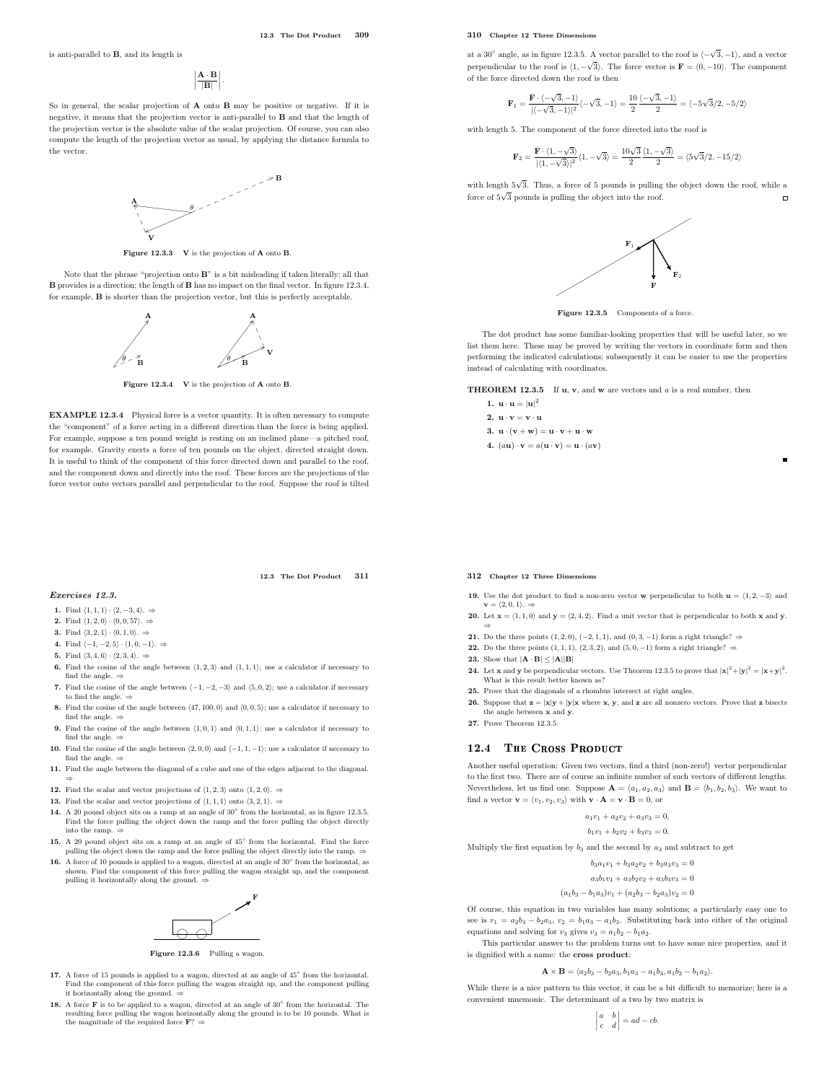is anti-parallel to B, and its length is

 $\left|\frac{\mathbf{A} \cdot \mathbf{B}}{|\mathbf{B}|}\right|$ ļ  $||\mathbf{B}||$ ļ .

So in general, the scalar projection of A onto B may be positive or negative. If it is negative, it means that the projection vector is anti-parallel to B and that the length of the projection vector is the absolute value of the scalar projection. Of course, you can also compute the length of the projection vector as usual, by applying the distance formula to the vector.



Figure 12.3.3 V is the projection of A onto B.

Note that the phrase "projection onto B" is a bit misleading if taken literally; all that B provides is a direction; the length of B has no impact on the final vector. In figure 12.3.4, for example, B is shorter than the projection vector, but this is perfectly acceptable.



Figure 12.3.4 V is the projection of A onto B.

EXAMPLE 12.3.4 Physical force is a vector quantity. It is often necessary to compute the "component" of a force acting in a different direction than the force is being applied. For example, suppose a ten pound weight is resting on an inclined plane—a pitched roof, for example. Gravity exerts a force of ten pounds on the object, directed straight down. It is useful to think of the component of this force directed down and parallel to the roof, and the component down and directly into the roof. These forces are the projections of the force vector onto vectors parallel and perpendicular to the roof. Suppose the roof is tilted 310 Chapter 12 Three Dimensions

at a 30<sup>°</sup> angle, as in figure 12.3.5. A vector parallel to the roof is  $\langle -\sqrt{3}, -1 \rangle$ , and a vector perpendicular to the roof is  $\langle 1, -\sqrt{3} \rangle$ . The force vector is  $\mathbf{F} = \langle 0, -10 \rangle$ . The component of the force directed down the roof is then

$$
\mathbf{F}_1 = \frac{\mathbf{F}\cdot\langle -\sqrt{3}, -1 \rangle}{\vert \langle -\sqrt{3}, -1 \rangle \vert^2} \langle -\sqrt{3}, -1 \rangle = \frac{10}{2} \frac{\langle -\sqrt{3}, -1 \rangle}{2} = \langle -5\sqrt{3}/2, -5/2 \rangle
$$

with length 5. The component of the force directed into the roof is

$$
\mathbf{F}_2 = \frac{\mathbf{F} \cdot \langle 1, -\sqrt{3} \rangle}{|\langle 1, -\sqrt{3} \rangle|^2} \langle 1, -\sqrt{3} \rangle = \frac{10\sqrt{3}}{2} \frac{\langle 1, -\sqrt{3} \rangle}{2} = \langle 5\sqrt{3}/2, -15/2 \rangle
$$

with length 5<sup>√</sup> 3. Thus, a force of 5 pounds is pulling the object down the roof, while a force of  $5\sqrt{3}$  pounds is pulling the object into the roof.





The dot product has some familiar-looking properties that will be useful later, so we list them here. These may be proved by writing the vectors in coordinate form and then performing the indicated calculations; subsequently it can be easier to use the properties instead of calculating with coordinates.

THEOREM 12.3.5 If u, v, and w are vectors and a is a real number, then

1.  $\mathbf{u} \cdot \mathbf{u} = |\mathbf{u}|^2$ 2.  $\mathbf{u} \cdot \mathbf{v} = \mathbf{v} \cdot \mathbf{u}$ 3.  $\mathbf{u} \cdot (\mathbf{v} + \mathbf{w}) = \mathbf{u} \cdot \mathbf{v} + \mathbf{u} \cdot \mathbf{w}$ 4.  $(au) \cdot \mathbf{v} = a(\mathbf{u} \cdot \mathbf{v}) = \mathbf{u} \cdot (a\mathbf{v})$ 

#### 12.3 The Dot Product 311

# Exercises 12.3.

- 1. Find  $\langle 1, 1, 1 \rangle \cdot \langle 2, -3, 4 \rangle. \Rightarrow$
- 2. Find  $\langle 1, 2, 0 \rangle \cdot \langle 0, 0, 57 \rangle$ . ⇒
- 3. Find  $\langle 3, 2, 1 \rangle \cdot \langle 0, 1, 0 \rangle$ . ⇒
- 4. Find  $(-1, -2, 5) \cdot (1, 0, -1)$ . ⇒
- 5. Find  $\langle 3, 4, 6 \rangle \cdot \langle 2, 3, 4 \rangle$ . ⇒
- 6. Find the cosine of the angle between  $\langle 1, 2, 3 \rangle$  and  $\langle 1, 1, 1 \rangle$ ; use a calculator if necessary to find the angle.  $\Rightarrow$
- 7. Find the cosine of the angle between  $\langle -1, -2, -3 \rangle$  and  $\langle 5, 0, 2 \rangle$ ; use a calculator if necessary to find the angle. ⇒
- 8. Find the cosine of the angle between  $\langle 47, 100, 0 \rangle$  and  $\langle 0, 0, 5 \rangle$ ; use a calculator if necessary to find the angle. =
- 9. Find the cosine of the angle between  $\langle 1, 0, 1 \rangle$  and  $\langle 0, 1, 1 \rangle$ ; use a calculator if necessary to find the angle.  $\Rightarrow$
- 10. Find the cosine of the angle between  $\langle 2, 0, 0 \rangle$  and  $\langle -1, 1, -1 \rangle$ ; use a calculator if necessary to find the angle.  $\Rightarrow$
- 11. Find the angle between the diagonal of a cube and one of the edges adjacent to the diagonal.
- $\Rightarrow$  12. Find the scalar and vector projections of  $\langle 1, 2, 3 \rangle$  onto  $\langle 1, 2, 0 \rangle$ . ⇒
- 13. Find the scalar and vector projections of  $\langle 1, 1, 1 \rangle$  onto  $\langle 3, 2, 1 \rangle$ . ⇒
- 14. A 20 pound object sits on a ramp at an angle of  $30^\circ$  from the horizontal, as in figure 12.3.5. Find the force pulling the object down the ramp and the force pulling the object directly into the ramp. ⇒
- 15. A 20 pound object sits on a ramp at an angle of  $45^{\circ}$  from the horizontal. Find the force lling the object down the ramp and the force pulling the object directly into the ramp.  $\Rightarrow$
- 16. A force of 10 pounds is applied to a wagon, directed at an angle of 30° from the horizontal, as shown. Find the component of this force pulling the wagon straight up, and the component pulling it horizontally along the ground.  $\Rightarrow$



Figure 12.3.6 Pulling a wagon.

- 17. A force of 15 pounds is applied to a wagon, directed at an angle of 45° from the horizontal. Find the component of this force pulling the wagon straight up, and the component pulling it horizontally along the ground.  $\Rightarrow$
- 18. A force  $\bf{F}$  is to be applied to a wagon, directed at an angle of 30 $\degree$  from the horizontal. The resulting force pulling the wagon horizontally along the ground is to be 10 pounds. What is the magnitude of the required force  $\mathbf{F}$ ?  $\Rightarrow$

# 312 Chapter 12 Three Dimensions

- 19. Use the dot product to find a non-zero vector w perpendicular to both  $\mathbf{u} = \langle 1, 2, -3 \rangle$  and  $\mathbf{v} = \langle 2, 0, 1 \rangle$
- 20. Let  $\mathbf{x} = \langle 1, 1, 0 \rangle$  and  $\mathbf{y} = \langle 2, 4, 2 \rangle$ . Find a unit vector that is perpendicular to both x and y. ⇒
- 21. Do the three points  $(1, 2, 0), (-2, 1, 1),$  and  $(0, 3, -1)$  form a right triangle?  $\Rightarrow$
- 22. Do the three points  $(1, 1, 1), (2, 3, 2),$  and  $(5, 0, -1)$  form a right triangle?  $\Rightarrow$
- 23. Show that  $|\mathbf{A} \cdot \mathbf{B}| \leq |\mathbf{A}||\mathbf{B}|$
- **24.** Let **x** and **y** be perpendicular vectors. Use Theorem 12.3.5 to prove that  $|\mathbf{x}|^2 + |\mathbf{y}|^2 = |\mathbf{x} + \mathbf{y}|^2$ . What is this result better known as?
- 25. Prove that the diagonals of a rhombus intersect at right angles.
- 26. Suppose that  $\mathbf{z} = |\mathbf{x}| \mathbf{y} + |\mathbf{y}| \mathbf{x}$  where  $\mathbf{x}, \mathbf{y}$ , and  $\mathbf{z}$  are all nonzero vectors. Prove that  $\mathbf{z}$  bisects the angle between x and y.
- 27. Prove Theorem 12.3.5.

# 12.4 THE CROSS PRODUCT

Another useful operation: Given two vectors, find a third (non-zero!) vector perpendicular to the first two. There are of course an infinite number of such vectors of different lengths. Nevertheless, let us find one. Suppose  $\mathbf{A} = \langle a_1, a_2, a_3 \rangle$  and  $\mathbf{B} = \langle b_1, b_2, b_3 \rangle$ . We want to find a vector  $\mathbf{v} = \langle v_1, v_2, v_3 \rangle$  with  $\mathbf{v} \cdot \mathbf{A} = \mathbf{v} \cdot \mathbf{B} = 0$ , or

$$
a_1v_1 + a_2v_2 + a_3v_3 = 0,
$$

$$
b_1v_1 + b_2v_2 + b_3v_3 = 0.
$$

Multiply the first equation by  $b_3$  and the second by  $a_3$  and subtract to get

 $b_3a_1v_1 + b_3a_2v_2 + b_3a_3v_3 = 0$ 

$$
a_3b_1v_1 + a_3b_2v_2 + a_3b_3v_3 = 0
$$

 $\label{eq:16} (a_1b_3-b_1a_3)v_1+(a_2b_3-b_2a_3)v_2=0$ 

Of course, this equation in two variables has many solutions; a particularly easy one to see is  $v_1 = a_2b_3 - b_2a_3$ ,  $v_2 = b_1a_3 - a_1b_3$ . Substituting back into either of the original equations and solving for  $v_3$  gives  $v_3 = a_1b_2 - b_1a_2$ .

This particular answer to the problem turns out to have some nice properties, and it is dignified with a name: the cross product:

#### $\mathbf{A} \times \mathbf{B} = \langle a_2b_3 - b_2a_3, b_1a_3 - a_1b_3, a_1b_2 - b_1a_2 \rangle.$

While there is a nice pattern to this vector, it can be a bit difficult to memorize; here is a convenient mnemonic. The determinant of a two by two matrix is

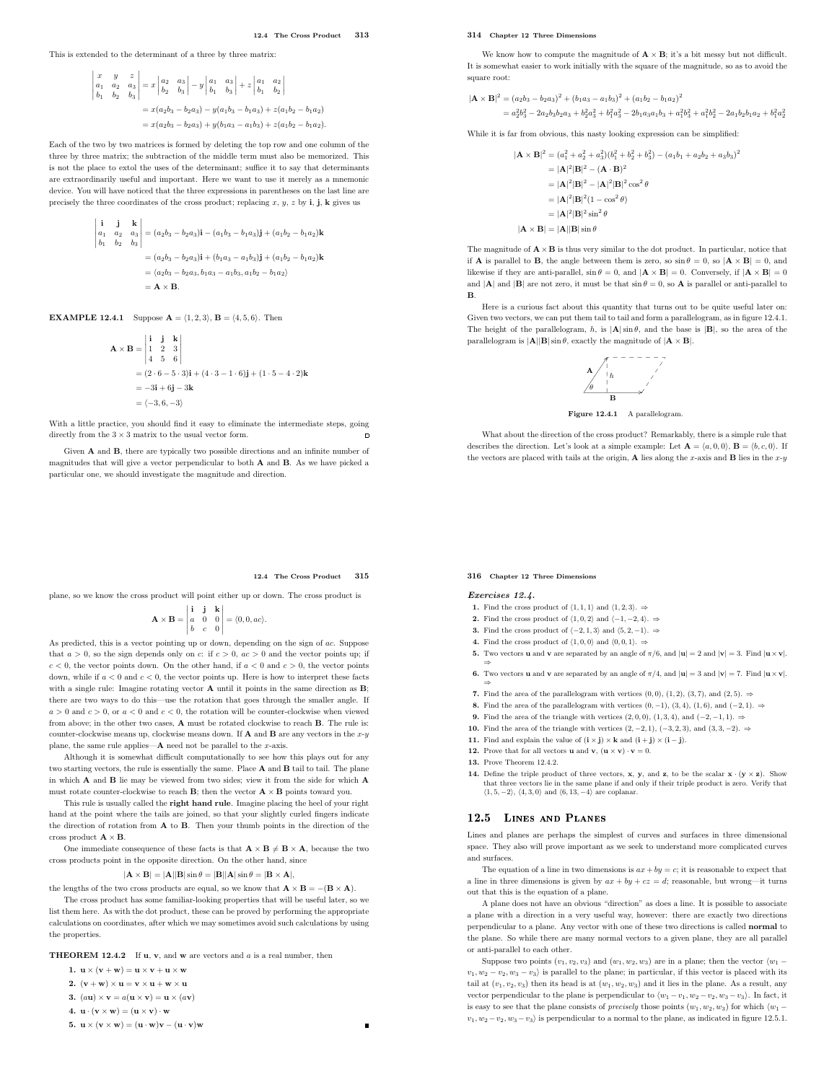12.4 The Cross Product 313

This is extended to the determinant of a three by three matrix:

ļ

I ł ļ

$$
\begin{vmatrix} x & y & z \\ a_1 & a_2 & a_3 \\ b_1 & b_2 & b_3 \end{vmatrix} = x \begin{vmatrix} a_2 & a_3 \\ b_2 & b_3 \end{vmatrix} - y \begin{vmatrix} a_1 & a_3 \\ b_1 & b_3 \end{vmatrix} + z \begin{vmatrix} a_1 & a_2 \\ b_1 & b_2 \end{vmatrix}
$$
  
=  $x(a_2b_3 - b_2a_3) - y(a_1b_3 - b_1a_3) + z(a_1b_2 - b_1a_2)$   
=  $x(a_2b_3 - b_2a_3) + y(b_1a_3 - a_1b_3) + z(a_1b_2 - b_1a_2)$ .

Each of the two by two matrices is formed by deleting the top row and one column of the three by three matrix; the subtraction of the middle term must also be memorized. This is not the place to extol the uses of the determinant; suffice it to say that determinants are extraordinarily useful and important. Here we want to use it merely as a mnemonic device. You will have noticed that the three expressions in parentheses on the last line are precisely the three coordinates of the cross product; replacing  $x, y, z$  by i, j, k gives us

$$
\begin{vmatrix}\n\mathbf{i} & \mathbf{j} & \mathbf{k} \\
a_1 & a_2 & a_3 \\
b_1 & b_2 & b_3\n\end{vmatrix} = (a_2b_3 - b_2a_3)\mathbf{i} - (a_1b_3 - b_1a_3)\mathbf{j} + (a_1b_2 - b_1a_2)\mathbf{k}
$$
  
\n
$$
= (a_2b_3 - b_2a_3)\mathbf{i} + (b_1a_3 - a_1b_3)\mathbf{j} + (a_1b_2 - b_1a_2)\mathbf{k}
$$
  
\n
$$
= \langle a_2b_3 - b_2a_3, b_1a_3 - a_1b_3, a_1b_2 - b_1a_2 \rangle
$$
  
\n
$$
= \mathbf{A} \times \mathbf{B}.
$$

**EXAMPLE 12.4.1** Suppose  $\mathbf{A} = \langle 1, 2, 3 \rangle$ ,  $\mathbf{B} = \langle 4, 5, 6 \rangle$ . Then

$$
\mathbf{A} \times \mathbf{B} = \begin{vmatrix} \mathbf{i} & \mathbf{j} & \mathbf{k} \\ 1 & 2 & 3 \\ 4 & 5 & 6 \end{vmatrix}
$$
  
= (2 \cdot 6 - 5 \cdot 3)\mathbf{i} + (4 \cdot 3 - 1 \cdot 6)\mathbf{j} + (1 \cdot 5 - 4 \cdot 2)\mathbf{k}  
= -3\mathbf{i} + 6\mathbf{j} - 3\mathbf{k}  
= \langle -3, 6, -3 \rangle

With a little practice, you should find it easy to eliminate the intermediate steps, going directly from the  $3 \times 3$  matrix to the usual vector form.  $\Box$ 

Given A and B, there are typically two possible directions and an infinite number of magnitudes that will give a vector perpendicular to both A and B. As we have picked a particular one, we should investigate the magnitude and direction.

#### 12.4 The Cross Product 315

 $\blacksquare$ 

plane, so we know the cross product will point either up or down. The cross product is

$$
\mathbf{A} \times \mathbf{B} = \begin{vmatrix} \mathbf{i} & \mathbf{j} & \mathbf{k} \\ a & 0 & 0 \\ b & c & 0 \end{vmatrix} = \langle 0, 0, ac \rangle.
$$

As predicted, this is a vector pointing up or down, depending on the sign of ac. Suppose that  $a > 0$ , so the sign depends only on c; if  $c > 0$ ,  $ac > 0$  and the vector points up; if  $c < 0$ , the vector points down. On the other hand, if  $a < 0$  and  $c > 0$ , the vector points down, while if  $a < 0$  and  $c < 0$ , the vector points up. Here is how to interpret these facts with a single rule: Imagine rotating vector A until it points in the same direction as B; there are two ways to do this—use the rotation that goes through the smaller angle. If  $a > 0$  and  $c > 0$ , or  $a < 0$  and  $c < 0$ , the rotation will be counter-clockwise when viewed from above; in the other two cases, A must be rotated clockwise to reach B. The rule is: counter-clockwise means up, clockwise means down. If **A** and **B** are any vectors in the  $x$ -*y* plane, the same rule applies—A need not be parallel to the x-axis.

Although it is somewhat difficult computationally to see how this plays out for any two starting vectors, the rule is essentially the same. Place A and B tail to tail. The plane in which A and B lie may be viewed from two sides; view it from the side for which A must rotate counter-clockwise to reach **B**; then the vector  $\mathbf{A} \times \mathbf{B}$  points toward you.

This rule is usually called the right hand rule. Imagine placing the heel of your right hand at the point where the tails are joined, so that your slightly curled fingers indicate the direction of rotation from A to B. Then your thumb points in the direction of the cross product  $\mathbf{A} \times \mathbf{B}$ .

One immediate consequence of these facts is that  $\mathbf{A} \times \mathbf{B} \neq \mathbf{B} \times \mathbf{A}$ , because the two cross products point in the opposite direction. On the other hand, since

$$
|\mathbf{A} \times \mathbf{B}| = |\mathbf{A}||\mathbf{B}|\sin \theta = |\mathbf{B}||\mathbf{A}|\sin \theta = |\mathbf{B} \times \mathbf{A}|,
$$

the lengths of the two cross products are equal, so we know that  $\mathbf{A} \times \mathbf{B} = -(\mathbf{B} \times \mathbf{A})$ .

The cross product has some familiar-looking properties that will be useful later, so we list them here. As with the dot product, these can be proved by performing the appropriate calculations on coordinates, after which we may sometimes avoid such calculations by using the properties.

**THEOREM 12.4.2** If  $u$ ,  $v$ , and  $w$  are vectors and  $a$  is a real number, then

1.  $\mathbf{u} \times (\mathbf{v} + \mathbf{w}) = \mathbf{u} \times \mathbf{v} + \mathbf{u} \times \mathbf{w}$ 

2.  $(\mathbf{v} + \mathbf{w}) \times \mathbf{u} = \mathbf{v} \times \mathbf{u} + \mathbf{w} \times \mathbf{u}$ 

3.  $(a\mathbf{u}) \times \mathbf{v} = a(\mathbf{u} \times \mathbf{v}) = \mathbf{u} \times (a\mathbf{v})$ 

4.  $\mathbf{u} \cdot (\mathbf{v} \times \mathbf{w}) = (\mathbf{u} \times \mathbf{v}) \cdot \mathbf{w}$ 

5.  $\mathbf{u} \times (\mathbf{v} \times \mathbf{w}) = (\mathbf{u} \cdot \mathbf{w})\mathbf{v} - (\mathbf{u} \cdot \mathbf{v})\mathbf{w}$ 

# 314 Chapter 12 Three Dimensions

We know how to compute the magnitude of  $\mathbf{A} \times \mathbf{B}$ ; it's a bit messy but not difficult. It is somewhat easier to work initially with the square of the magnitude, so as to avoid the square root:

 $|\mathbf{A} \times \mathbf{B}|^2 = (a_2b_3 - b_2a_3)^2 + (b_1a_3 - a_1b_3)^2 + (a_1b_2 - b_1a_2)^2$ 

 $= a_2^2b_3^2 - 2a_2b_3b_2a_3 + b_2^2a_3^2 + b_1^2a_3^2 - 2b_1a_3a_1b_3 + a_1^2b_3^2 + a_1^2b_2^2 - 2a_1b_2b_1a_2 + b_1^2a_2^2$ 

2

While it is far from obvious, this nasty looking expression can be simplified:

$$
|\mathbf{A} \times \mathbf{B}|^2 = (a_1^2 + a_2^2 + a_3^2)(b_1^2 + b_2^2 + b_3^2) - (a_1b_1 + a_2b_2 + a_3b_3)
$$
  
=  $|\mathbf{A}|^2 |\mathbf{B}|^2 - (\mathbf{A} \cdot \mathbf{B})^2$   
=  $|\mathbf{A}|^2 |\mathbf{B}|^2 - |\mathbf{A}|^2 |\mathbf{B}|^2 \cos^2 \theta$   
=  $|\mathbf{A}|^2 |\mathbf{B}|^2 (1 - \cos^2 \theta)$   
=  $|\mathbf{A}|^2 |\mathbf{B}|^2 \sin^2 \theta$   
 $|\mathbf{A} \times \mathbf{B}| = |\mathbf{A}||\mathbf{B}|\sin \theta$ 

The magnitude of  $\mathbf{A} \times \mathbf{B}$  is thus very similar to the dot product. In particular, notice that if **A** is parallel to **B**, the angle between them is zero, so  $\sin \theta = 0$ , so  $|\mathbf{A} \times \mathbf{B}| = 0$ , and likewise if they are anti-parallel,  $\sin \theta = 0$ , and  $|\mathbf{A} \times \mathbf{B}| = 0$ . Conversely, if  $|\mathbf{A} \times \mathbf{B}| = 0$ and  $|\mathbf{A}|$  and  $|\mathbf{B}|$  are not zero, it must be that  $\sin \theta = 0$ , so **A** is parallel or anti-parallel to B.

Here is a curious fact about this quantity that turns out to be quite useful later on: Given two vectors, we can put them tail to tail and form a parallelogram, as in figure 12.4.1. The height of the parallelogram, h, is  $|\mathbf{A}| \sin \theta$ , and the base is  $|\mathbf{B}|$ , so the area of the parallelogram is  $|\mathbf{A}||\mathbf{B}|\sin\theta$ , exactly the magnitude of  $|\mathbf{A} \times \mathbf{B}|$ .



Figure 12.4.1 A parallelogram

What about the direction of the cross product? Remarkably, there is a simple rule that describes the direction. Let's look at a simple example: Let  $\mathbf{A} = \langle a, 0, 0 \rangle$ ,  $\mathbf{B} = \langle b, c, 0 \rangle$ . If the vectors are placed with tails at the origin, **A** lies along the x-axis and **B** lies in the x-y

## 316 Chapter 12 Three Dimensions

## Exercises 12.4.

- 1. Find the cross product of  $(1, 1, 1)$  and  $(1, 2, 3)$ . ⇒
- 2. Find the cross product of  $\langle 1, 0, 2 \rangle$  and  $\langle -1, -2, 4 \rangle$ . ⇒
- 3. Find the cross product of  $\langle -2, 1, 3 \rangle$  and  $\langle 5, 2, -1 \rangle$ . ⇒
- 4. Find the cross product of  $\langle 1, 0, 0 \rangle$  and  $\langle 0, 0, 1 \rangle$ . ⇒
- 5. Two vectors **u** and **v** are separated by an angle of  $\pi/6$ , and  $|\mathbf{u}| = 2$  and  $|\mathbf{v}| = 3$ . Find  $|\mathbf{u} \times \mathbf{v}|$ .
- $\Rightarrow$  6. Two vectors **u** and **v** are separated by an angle of π/4, and  $|\mathbf{u}| = 3$  and  $|\mathbf{v}| = 7$ . Find  $|\mathbf{u} \times \mathbf{v}|$ . ⇒
- 7. Find the area of the parallelogram with vertices  $(0, 0)$ ,  $(1, 2)$ ,  $(3, 7)$ , and  $(2, 5)$ ,  $\Rightarrow$
- 8. Find the area of the parallelogram with vertices  $(0, -1)$ ,  $(3, 4)$ ,  $(1, 6)$ , and  $(-2, 1)$ . ⇒
- 9. Find the area of the triangle with vertices  $(2, 0, 0)$ ,  $(1, 3, 4)$ , and  $(-2, -1, 1)$ . ⇒
- 10. Find the area of the triangle with vertices  $(2, -2, 1)$ ,  $(-3, 2, 3)$ , and  $(3, 3, -2)$ . ⇒
- 11. Find and explain the value of  $(i \times j) \times k$  and  $(i + j) \times (i j)$ .
- **12.** Prove that for all vectors **u** and **v**,  $(\mathbf{u} \times \mathbf{v}) \cdot \mathbf{v} = 0$ .
- 13. Prove Theorem 12.4.2.
- 14. Define the triple product of three vectors, x, y, and z, to be the scalar  $x \cdot (y \times z)$ . Show that three vectors lie in the same plane if and only if their triple product is zero. Verify that  $\langle 1, 5, -2\rangle,\, \langle 4, 3, 0\rangle$  and  $\langle 6, 13, -4\rangle$  are coplanar.

# 12.5 Lines and Planes

Lines and planes are perhaps the simplest of curves and surfaces in three dimensional space. They also will prove important as we seek to understand more complicated curves and surfaces.

The equation of a line in two dimensions is  $ax + by = c$ ; it is reasonable to expect that a line in three dimensions is given by  $ax + by + cz = d$ ; reasonable, but wrong—it turns out that this is the equation of a plane.

A plane does not have an obvious "direction" as does a line. It is possible to associate a plane with a direction in a very useful way, however: there are exactly two directions perpendicular to a plane. Any vector with one of these two directions is called normal to the plane. So while there are many normal vectors to a given plane, they are all parallel or anti-parallel to each other.

Suppose two points  $(v_1, v_2, v_3)$  and  $(w_1, w_2, w_3)$  are in a plane; then the vector  $\langle w_1$  $v_1, w_2 - v_2, w_3 - v_3$  is parallel to the plane; in particular, if this vector is placed with its tail at  $(v_1, v_2, v_3)$  then its head is at  $(w_1, w_2, w_3)$  and it lies in the plane. As a result, any vector perpendicular to the plane is perpendicular to  $\langle w_1 - v_1, w_2 - v_2, w_3 - v_3 \rangle$ . In fact, it is easy to see that the plane consists of *precisely* those points  $(w_1, w_2, w_3)$  for which  $\langle w_1 - w_2, w_3 \rangle$  $v_1, w_2 - v_2, w_3 - v_3$  is perpendicular to a normal to the plane, as indicated in figure 12.5.1.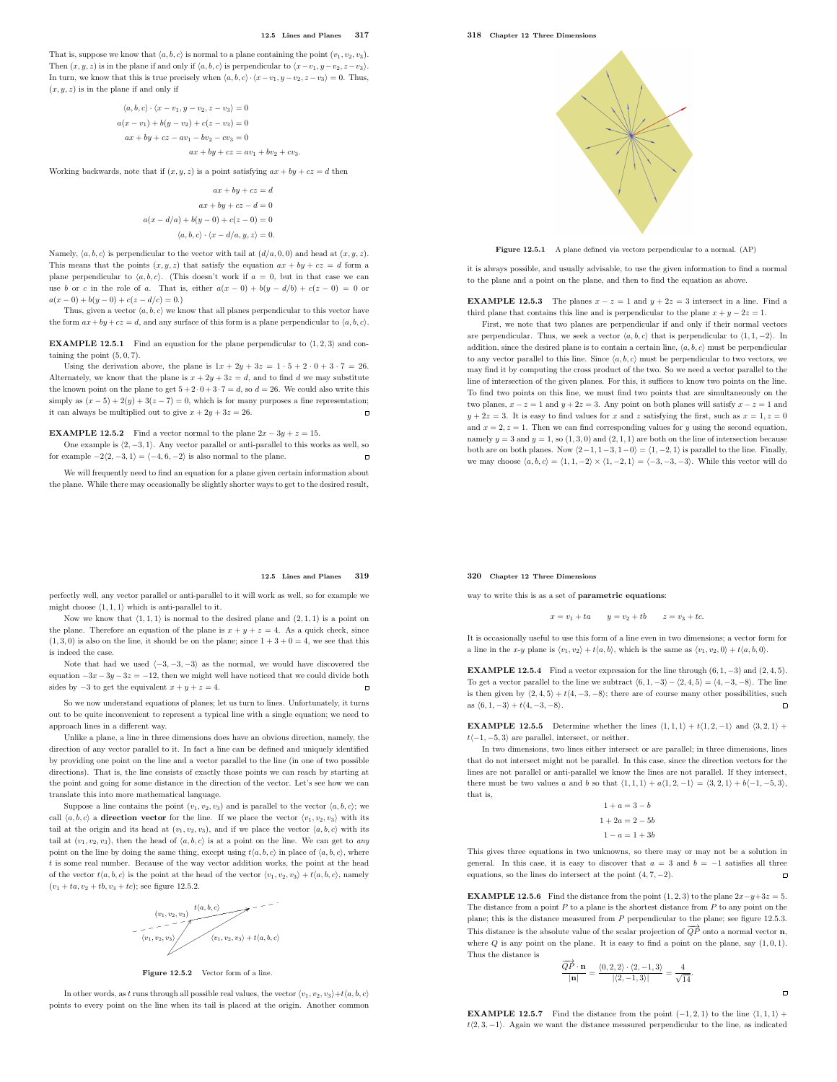That is, suppose we know that  $\langle a, b, c \rangle$  is normal to a plane containing the point  $(v_1, v_2, v_3)$ . Then  $(x, y, z)$  is in the plane if and only if  $\langle a, b, c \rangle$  is perpendicular to  $\langle x-v_1, y-v_2, z-v_3 \rangle$ . In turn, we know that this is true precisely when  $\langle a, b, c \rangle \cdot \langle x - v_1, y - v_2, z - v_3 \rangle = 0$ . Thus,  $(x, y, z)$  is in the plane if and only if

$$
\langle a, b, c \rangle \cdot \langle x - v_1, y - v_2, z - v_3 \rangle = 0
$$
  

$$
a(x - v_1) + b(y - v_2) + c(z - v_3) = 0
$$
  

$$
ax + by + cz - av_1 - bv_2 - cv_3 = 0
$$
  

$$
ax + by + cz = av_1 + bv_2 + cv_3.
$$

Working backwards, note that if  $(x, y, z)$  is a point satisfying  $ax + by + cz = d$  then

$$
ax + by + cz = d
$$

$$
ax + by + cz - d = 0
$$

$$
a(x - d/a) + b(y - 0) + c(z - 0) = 0
$$

$$
\langle a, b, c \rangle \cdot \langle x - d/a, y, z \rangle = 0.
$$

Namely,  $\langle a, b, c \rangle$  is perpendicular to the vector with tail at  $(d/a, 0, 0)$  and head at  $(x, y, z)$ . This means that the points  $(x, y, z)$  that satisfy the equation  $ax + by + cz = d$  form a plane perpendicular to  $\langle a, b, c \rangle$ . (This doesn't work if  $a = 0$ , but in that case we can use b or c in the role of a. That is, either  $a(x - 0) + b(y - d/b) + c(z - 0) = 0$  or  $a(x-0) + b(y-0) + c(z-d/c) = 0.$ 

Thus, given a vector  $\langle a, b, c \rangle$  we know that all planes perpendicular to this vector have the form  $ax + bu + cz = d$ , and any surface of this form is a plane perpendicular to  $\langle a, b, c \rangle$ .

**EXAMPLE 12.5.1** Find an equation for the plane perpendicular to  $\langle 1, 2, 3 \rangle$  and containing the point (5, 0, 7).

Using the derivation above, the plane is  $1x + 2y + 3z = 1 \cdot 5 + 2 \cdot 0 + 3 \cdot 7 = 26$ . Alternately, we know that the plane is  $x + 2y + 3z = d$ , and to find d we may substitute the known point on the plane to get  $5 + 2 \cdot 0 + 3 \cdot 7 = d$ , so  $d = 26$ . We could also write this simply as  $(x - 5) + 2(y) + 3(z - 7) = 0$ , which is for many purposes a fine representation;<br>it can always be multiplied out to give  $x + 2y + 3z = 26$ it can always be multiplied out to give  $x + 2y + 3z = 26$ .

**EXAMPLE 12.5.2** Find a vector normal to the plane  $2x - 3y + z = 15$ .

One example is  $\langle 2, -3, 1 \rangle$ . Any vector parallel or anti-parallel to this works as well, so example  $-2(2, -3, 1) = (-4, 6, -2)$  is also pormal to the plane for example  $-2\langle 2, -3, 1 \rangle = \langle -4, 6, -2 \rangle$  is also normal to the plane.

We will frequently need to find an equation for a plane given certain information about the plane. While there may occasionally be slightly shorter ways to get to the desired result,

#### 12.5 Lines and Planes 319

perfectly well, any vector parallel or anti-parallel to it will work as well, so for example we might choose  $(1, 1, 1)$  which is anti-parallel to it.

Now we know that  $(1, 1, 1)$  is normal to the desired plane and  $(2, 1, 1)$  is a point on the plane. Therefore an equation of the plane is  $x + y + z = 4$ . As a quick check, since  $(1, 3, 0)$  is also on the line, it should be on the plane; since  $1 + 3 + 0 = 4$ , we see that this is indeed the case.

Note that had we used  $\langle -3, -3, -3 \rangle$  as the normal, we would have discovered the equation  $-3x-3y-3z = -12$ , then we might well have noticed that we could divide both sides by  $-3$  to get the equivalent  $x + y + z = 4$ . sides by  $-3$  to get the equivalent  $x + y + z = 4$ .

So we now understand equations of planes; let us turn to lines. Unfortunately, it turns out to be quite inconvenient to represent a typical line with a single equation; we need to approach lines in a different way.

Unlike a plane, a line in three dimensions does have an obvious direction, namely, the direction of any vector parallel to it. In fact a line can be defined and uniquely identified by providing one point on the line and a vector parallel to the line (in one of two possible directions). That is, the line consists of exactly those points we can reach by starting at the point and going for some distance in the direction of the vector. Let's see how we can translate this into more mathematical language.

Suppose a line contains the point  $(v_1, v_2, v_3)$  and is parallel to the vector  $\langle a, b, c \rangle$ ; we call  $\langle a, b, c \rangle$  a direction vector for the line. If we place the vector  $\langle v_1, v_2, v_3 \rangle$  with its tail at the origin and its head at  $(v_1, v_2, v_3)$ , and if we place the vector  $\langle a, b, c \rangle$  with its tail at  $(v_1, v_2, v_3)$ , then the head of  $\langle a, b, c \rangle$  is at a point on the line. We can get to any point on the line by doing the same thing, except using  $t(a, b, c)$  in place of  $\langle a, b, c \rangle$ , where t is some real number. Because of the way vector addition works, the point at the head of the vector  $t\langle a, b, c \rangle$  is the point at the head of the vector  $\langle v_1, v_2, v_3 \rangle + t\langle a, b, c \rangle$ , namely  $(v_1 + ta, v_2 + tb, v_3 + tc);$  see figure 12.5.2.



Figure 12.5.2 Vector form of a line.

In other words, as t runs through all possible real values, the vector  $\langle v_1, v_2, v_3 \rangle + t \langle a, b, c \rangle$ points to every point on the line when its tail is placed at the origin. Another common



Figure 12.5.1 A plane defined via vectors perpendicular to a normal. (AP)

it is always possible, and usually advisable, to use the given information to find a normal to the plane and a point on the plane, and then to find the equation as above.

**EXAMPLE 12.5.3** The planes  $x - z = 1$  and  $y + 2z = 3$  intersect in a line. Find a third plane that contains this line and is perpendicular to the plane  $x + y - 2z = 1$ .

First, we note that two planes are perpendicular if and only if their normal vectors are perpendicular. Thus, we seek a vector  $\langle a, b, c \rangle$  that is perpendicular to  $\langle 1, 1, -2 \rangle$ . In addition, since the desired plane is to contain a certain line,  $\langle a, b, c \rangle$  must be perpendicular to any vector parallel to this line. Since  $\langle a, b, c \rangle$  must be perpendicular to two vectors, we may find it by computing the cross product of the two. So we need a vector parallel to the line of intersection of the given planes. For this, it suffices to know two points on the line. To find two points on this line, we must find two points that are simultaneously on the two planes,  $x - z = 1$  and  $y + 2z = 3$ . Any point on both planes will satisfy  $x - z = 1$  and  $y + 2z = 3$ . It is easy to find values for x and z satisfying the first, such as  $x = 1, z = 0$ and  $x = 2, z = 1$ . Then we can find corresponding values for y using the second equation, namely  $y = 3$  and  $y = 1$ , so  $(1, 3, 0)$  and  $(2, 1, 1)$  are both on the line of intersection because both are on both planes. Now  $\langle 2-1, 1-3, 1-0 \rangle = \langle 1, -2, 1 \rangle$  is parallel to the line. Finally, we may choose  $\langle a, b, c \rangle = \langle 1, 1, -2 \rangle \times \langle 1, -2, 1 \rangle = \langle -3, -3, -3 \rangle$ . While this vector will do

#### 320 Chapter 12 Three Dimensions

way to write this is as a set of parametric equations:

$$
x = v_1 + ta
$$
  $y = v_2 + tb$   $z = v_3 + tc$ .

It is occasionally useful to use this form of a line even in two dimensions; a vector form for a line in the x-y plane is  $\langle v_1, v_2 \rangle + t\langle a, b \rangle$ , which is the same as  $\langle v_1, v_2, 0 \rangle + t\langle a, b, 0 \rangle$ .

**EXAMPLE 12.5.4** Find a vector expression for the line through  $(6, 1, -3)$  and  $(2, 4, 5)$ . To get a vector parallel to the line we subtract  $\langle 6, 1, -3 \rangle - \langle 2, 4, 5 \rangle = \langle 4, -3, -8 \rangle$ . The line is then given by  $\langle 2, 4, 5 \rangle + t \langle 4, -3, -8 \rangle$ ; there are of course many other possibilities, such  $e^{i\langle 6, 1, -3 \rangle} + t \langle 4, -3, -8 \rangle$ as  $(6, 1, -3) + t(4, -3, -8)$ .

**EXAMPLE 12.5.5** Determine whether the lines  $\langle 1, 1, 1 \rangle + t\langle 1, 2, -1 \rangle$  and  $\langle 3, 2, 1 \rangle +$  $t\langle -1, -5, 3\rangle$  are parallel, intersect, or neither.

In two dimensions, two lines either intersect or are parallel; in three dimensions, lines that do not intersect might not be parallel. In this case, since the direction vectors for the lines are not parallel or anti-parallel we know the lines are not parallel. If they intersect, there must be two values a and b so that  $\langle 1, 1, 1 \rangle + a \langle 1, 2, -1 \rangle = \langle 3, 2, 1 \rangle + b \langle -1, -5, 3 \rangle$ , that is,

$$
1 + a = 3 - b
$$

$$
1 + 2a = 2 - 5b
$$

$$
1 - a = 1 + 3b
$$

This gives three equations in two unknowns, so there may or may not be a solution in general. In this case, it is easy to discover that  $a = 3$  and  $b = -1$  satisfies all three equations, so the lines do intersect at the point  $(4, 7, -2)$ . equations, so the lines do intersect at the point  $(4, 7, -2)$ .

**EXAMPLE 12.5.6** Find the distance from the point  $(1, 2, 3)$  to the plane  $2x-y+3z=5$ . The distance from a point  $P$  to a plane is the shortest distance from  $P$  to any point on the plane; this is the distance measured from  $P$  perpendicular to the plane; see figure 12.5.3. This distance is the absolute value of the scalar projection of  $\overrightarrow{QP}$  onto a normal vector **n**, where  $Q$  is any point on the plane. It is easy to find a point on the plane, say  $(1, 0, 1)$ . Thus the distance is

$$
\frac{\overrightarrow{QP} \cdot \mathbf{n}}{|\mathbf{n}|} = \frac{\langle 0, 2, 2 \rangle \cdot \langle 2, -1, 3 \rangle}{|\langle 2, -1, 3 \rangle|} = \frac{4}{\sqrt{14}}.
$$

 $\Box$ 

**EXAMPLE 12.5.7** Find the distance from the point  $(-1, 2, 1)$  to the line  $\langle 1, 1, 1 \rangle$  +  $t(2, 3, -1)$ . Again we want the distance measured perpendicular to the line, as indicated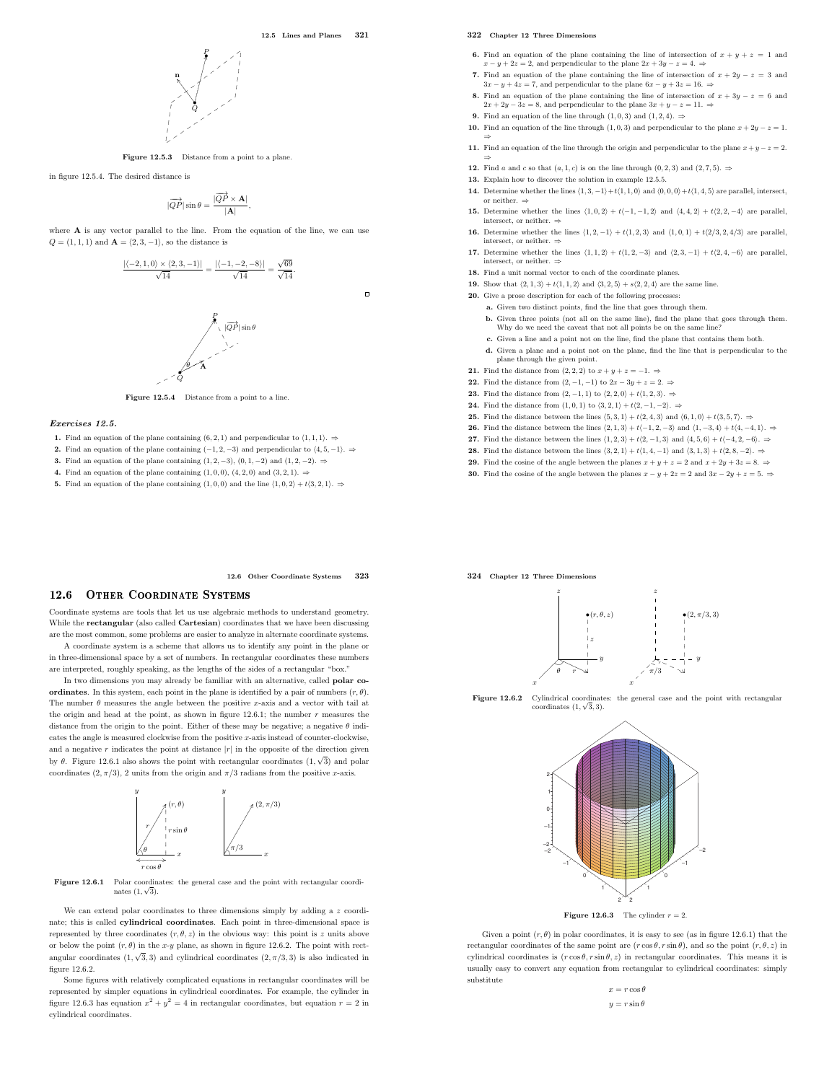12.5 Lines and Planes 321

 $\Box$ 



Figure 12.5.3 Distance from a point to a plane.

in figure 12.5.4. The desired distance is

$$
|\overrightarrow{QP}|\sin\theta = \frac{|\overrightarrow{QP} \times \mathbf{A}|}{|\mathbf{A}|},
$$

where **A** is any vector parallel to the line. From the equation of the line, we can use  $Q = (1, 1, 1)$  and  $\mathbf{A} = (2, 3, -1)$ , so the distance is





Figure  $12.5.4$  Distance from a point to a line.

#### Exercises 12.5.

- 1. Find an equation of the plane containing  $(6, 2, 1)$  and perpendicular to  $\langle 1, 1, 1 \rangle. \Rightarrow$
- 2. Find an equation of the plane containing  $(-1, 2, -3)$  and perpendicular to  $\langle 4, 5, -1 \rangle$ . ⇒
- 3. Find an equation of the plane containing  $(1, 2, -3)$ ,  $(0, 1, -2)$  and  $(1, 2, -2)$ . ⇒
- 4. Find an equation of the plane containing  $(1, 0, 0), (4, 2, 0)$  and  $(3, 2, 1)$ . ⇒
- 5. Find an equation of the plane containing  $(1, 0, 0)$  and the line  $\langle 1, 0, 2 \rangle + t \langle 3, 2, 1 \rangle$ . ⇒

## 12.6 Other Coordinate Systems 323

# 12.6 Other Coordinate Systems

Coordinate systems are tools that let us use algebraic methods to understand geometry. While the **rectangular** (also called **Cartesian**) coordinates that we have been discussing are the most common, some problems are easier to analyze in alternate coordinate systems.

A coordinate system is a scheme that allows us to identify any point in the plane or in three-dimensional space by a set of numbers. In rectangular coordinates these numbers are interpreted, roughly speaking, as the lengths of the sides of a rectangular "box."

In two dimensions you may already be familiar with an alternative, called polar coordinates. In this system, each point in the plane is identified by a pair of numbers  $(r, \theta)$ . The number  $\theta$  measures the angle between the positive x-axis and a vector with tail at the origin and head at the point, as shown in figure 12.6.1; the number  $r$  measures the distance from the origin to the point. Either of these may be negative; a negative  $\theta$  indicates the angle is measured clockwise from the positive  $x$ -axis instead of counter-clockwise, and a negative  $r$  indicates the point at distance  $|r|$  in the opposite of the direction given by  $\theta$ . Figure 12.6.1 also shows the point with rectangular coordinates  $(1,\sqrt{3})$  and polar coordinates  $(2, \pi/3)$ , 2 units from the origin and  $\pi/3$  radians from the positive x-axis.



**Figure 12.6.1** Polar coordinates: the general case and the point with rectangular coordinates  $(1, \sqrt{3})$ .

We can extend polar coordinates to three dimensions simply by adding a z coordinate; this is called cylindrical coordinates. Each point in three-dimensional space is represented by three coordinates  $(r, \theta, z)$  in the obvious way: this point is z units above or below the point  $(r, \theta)$  in the x-y plane, as shown in figure 12.6.2. The point with rectangular coordinates  $(1, \sqrt{3}, 3)$  and cylindrical coordinates  $(2, \pi/3, 3)$  is also indicated in figure 12.6.2.

Some figures with relatively complicated equations in rectangular coordinates will be represented by simpler equations in cylindrical coordinates. For example, the cylinder in figure 12.6.3 has equation  $x^2 + y^2 = 4$  in rectangular coordinates, but equation  $r = 2$  in cylindrical coordinates.

# 322 Chapter 12 Three Dimensions

- 6. Find an equation of the plane containing the line of intersection of  $x + y + z = 1$  and  $-y+2z=2$ , and perpendicular to the plane  $2x+3y-z=4$ . ⇒
- 7. Find an equation of the plane containing the line of intersection of  $x + 2y z = 3$  and  $3x - y + 4z = 7$ , and perpendicular to the plane  $6x - y + 3z = 16$ .
- 8. Find an equation of the plane containing the line of intersection of  $x + 3y z = 6$  and  $2x + 2y 3z = 8$ , and perpendicular to the plane  $3x + y z = 11$ . ⇒
- 9. Find an equation of the line through  $(1, 0, 3)$  and  $(1, 2, 4)$ .  $\Rightarrow$
- 10. Find an equation of the line through (1, 0, 3) and perpendicular to the plane  $x + 2y z = 1$ .
- ⇒<br>11. Find an equation of the line through the origin and perpendicular to the plane  $x + y z = 2$ . ⇒
- 12. Find a and c so that  $(a, 1, c)$  is on the line through  $(0, 2, 3)$  and  $(2, 7, 5)$ .  $\Rightarrow$
- 13. Explain how to discover the solution in example 12.5.5.
- 14. Determine whether the lines  $\langle 1, 3, -1 \rangle + t(1, 1, 0)$  and  $\langle 0, 0, 0 \rangle + t(1, 4, 5)$  are parallel, intersect, or neither. ⇒
- 15. Determine whether the lines  $\langle 1, 0, 2 \rangle + t\langle -1, -1, 2 \rangle$  and  $\langle 4, 4, 2 \rangle + t\langle 2, 2, -4 \rangle$  are parallel, intersect, or neither. ⇒
- 16. Determine whether the lines  $(1, 2, -1) + t(1, 2, 3)$  and  $(1, 0, 1) + t(2/3, 2, 4/3)$  are parallel, intersect, or neither. ⇒
- 17. Determine whether the lines  $(1, 1, 2) + t(1, 2, -3)$  and  $(2, 3, -1) + t(2, 4, -6)$  are parallel, intersect, or neither. ⇒
- 18. Find a unit normal vector to each of the coordinate planes.
- 19. Show that  $\langle 2, 1, 3 \rangle + t\langle 1, 1, 2 \rangle$  and  $\langle 3, 2, 5 \rangle + s\langle 2, 2, 4 \rangle$  are the same line.
- 20. Give a prose description for each of the following processes:
	- a. Given two distinct points, find the line that goes through them.
	- b. Given three points (not all on the same line), find the plane that goes through them. Why do we need the caveat that not all points be on the same line?
	- c. Given a line and a point not on the line, find the plane that contains them both.
	- d. Given a plane and a point not on the plane, find the line that is perpendicular to the plane through the given point.
- 21. Find the distance from  $(2, 2, 2)$  to  $x + y + z = -1. \Rightarrow$
- 22. Find the distance from  $(2, -1, -1)$  to  $2x 3y + z = 2. \Rightarrow$
- 23. Find the distance from  $(2, -1, 1)$  to  $\langle 2, 2, 0 \rangle + t\langle 1, 2, 3 \rangle$ . ⇒
- 24. Find the distance from  $(1, 0, 1)$  to  $(3, 2, 1) + t(2, -1, -2)$ . ⇒
- 25. Find the distance between the lines  $(5, 3, 1) + t(2, 4, 3)$  and  $(6, 1, 0) + t(3, 5, 7)$ . ⇒
- 26. Find the distance between the lines  $\langle 2, 1, 3 \rangle + t\langle -1, 2, -3 \rangle$  and  $\langle 1, -3, 4 \rangle + t\langle 4, -4, 1 \rangle$ . ⇒
- 27. Find the distance between the lines  $\langle 1, 2, 3 \rangle + t\langle 2, -1, 3 \rangle$  and  $\langle 4, 5, 6 \rangle + t\langle -4, 2, -6 \rangle$ . ⇒
- 28. Find the distance between the lines  $\langle 3, 2, 1 \rangle + t\langle 1, 4, -1 \rangle$  and  $\langle 3, 1, 3 \rangle + t\langle 2, 8, -2 \rangle$ . ⇒
- 29. Find the cosine of the angle between the planes  $x + y + z = 2$  and  $x + 2y + 3z = 8$ .
- **30.** Find the cosine of the angle between the planes  $x y + 2z = 2$  and  $3x 2y + z = 5$ .  $\Rightarrow$





**Figure 12.6.2** Cylindrical coordinates: the general case and the point with rectangular coordinates  $(1, \sqrt{3}, 3)$ .



**Figure 12.6.3** The cylinder  $r = 2$ .

Given a point  $(r, \theta)$  in polar coordinates, it is easy to see (as in figure 12.6.1) that the rectangular coordinates of the same point are  $(r \cos \theta, r \sin \theta)$ , and so the point  $(r, \theta, z)$  in cylindrical coordinates is  $(r \cos \theta, r \sin \theta, z)$  in rectangular coordinates. This means it is usually easy to convert any equation from rectangular to cylindrical coordinates: simply substitute

 $x = r \cos \theta$  $y = r \sin \theta$